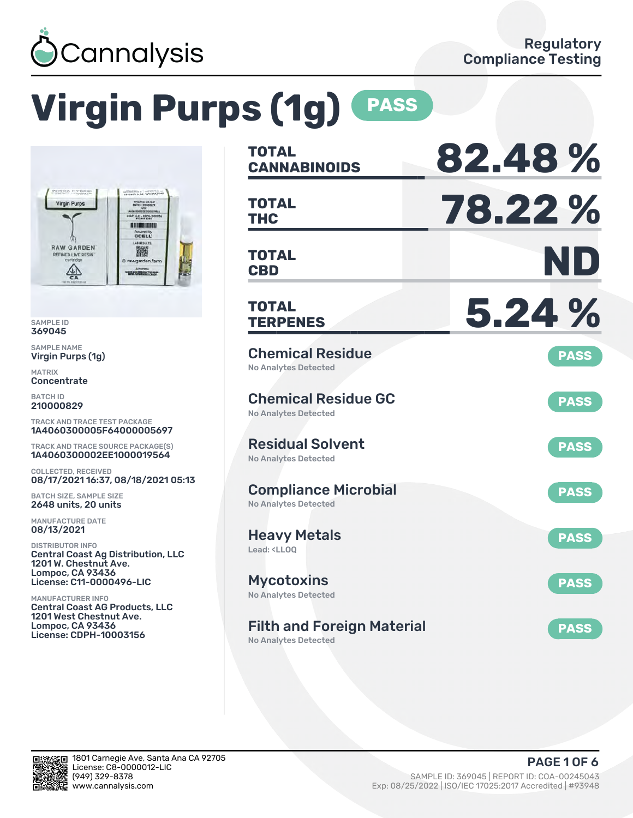

# **Virgin Purps (1g) PASS**



SAMPLE ID 369045

SAMPLE NAME Virgin Purps (1g)

MATRIX **Concentrate** 

BATCH ID 210000829

TRACK AND TRACE TEST PACKAGE 1A4060300005F64000005697

TRACK AND TRACE SOURCE PACKAGE(S) 1A4060300002EE1000019564

COLLECTED, RECEIVED 08/17/2021 16:37, 08/18/2021 05:13

BATCH SIZE, SAMPLE SIZE 2648 units, 20 units

MANUFACTURE DATE 08/13/2021

DISTRIBUTOR INFO Central Coast Ag Distribution, LLC 1201 W. Chestnut Ave. Lompoc, CA 93436 License: C11-0000496-LIC

MANUFACTURER INFO Central Coast AG Products, LLC 1201 West Chestnut Ave. Lompoc, CA 93436 License: CDPH-10003156

| <b>TOTAL</b><br><b>CANNABINOIDS</b>                                    | 82.48%      |
|------------------------------------------------------------------------|-------------|
| <b>TOTAL</b><br><b>THC</b>                                             | 78.22 %     |
| TOTAL<br><b>CBD</b>                                                    | ND          |
| <b>TOTAL</b><br><b>TERPENES</b>                                        | 5.24 %      |
| <b>Chemical Residue</b><br><b>No Analytes Detected</b>                 | <b>PASS</b> |
| <b>Chemical Residue GC</b><br><b>No Analytes Detected</b>              | <b>PASS</b> |
| <b>Residual Solvent</b><br><b>No Analytes Detected</b>                 | <b>PASS</b> |
| <b>Compliance Microbial</b><br><b>No Analytes Detected</b>             | <b>PASS</b> |
| <b>Heavy Metals</b><br>Lead: <ll00< td=""><td><b>PASS</b></td></ll00<> | <b>PASS</b> |
| <b>Mycotoxins</b><br><b>No Analytes Detected</b>                       | <b>PASS</b> |
| <b>Filth and Foreign Material</b><br>No Analytes Detected              | <b>PASS</b> |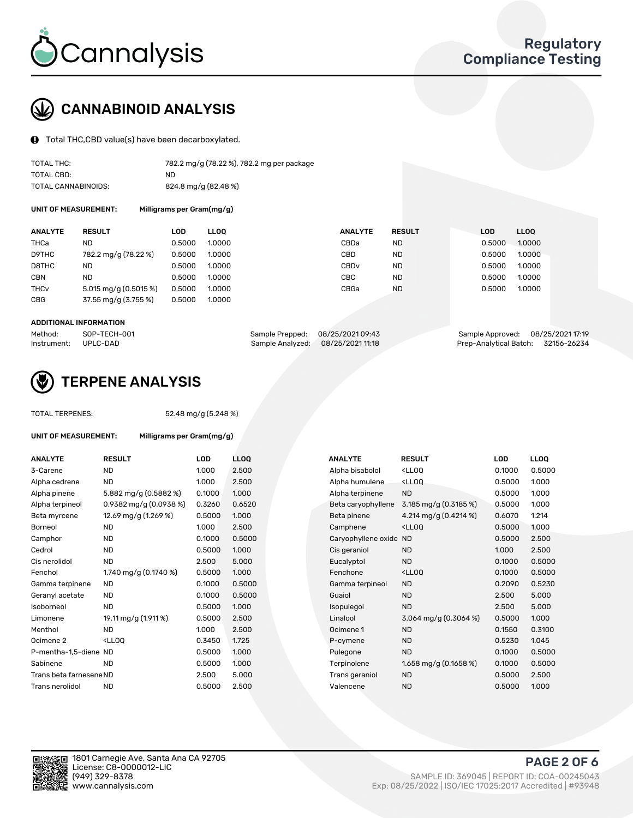

## CANNABINOID ANALYSIS

Total THC,CBD value(s) have been decarboxylated.

| TOTAL THC:          | 782.2 mg/g (78.22 %), 782.2 mg per package |
|---------------------|--------------------------------------------|
| TOTAL CBD:          | ND.                                        |
| TOTAL CANNABINOIDS: | 824.8 mg/g (82.48 %)                       |

UNIT OF MEASUREMENT: Milligrams per Gram(mg/g)

| <b>ANALYTE</b>         | <b>RESULT</b>                       | LOD    | <b>LLOO</b> | <b>ANALYTE</b>   | <b>RESULT</b> | <b>LOD</b> | LL <sub>00</sub> |
|------------------------|-------------------------------------|--------|-------------|------------------|---------------|------------|------------------|
| THCa                   | ND                                  | 0.5000 | 1.0000      | CBDa             | <b>ND</b>     | 0.5000     | 1.0000           |
| D9THC                  | 782.2 mg/g (78.22 %)                | 0.5000 | 1.0000      | CBD              | <b>ND</b>     | 0.5000     | 1.0000           |
| D8THC                  | ND                                  | 0.5000 | 1.0000      | CBD <sub>v</sub> | <b>ND</b>     | 0.5000     | 1.0000           |
| <b>CBN</b>             | <b>ND</b>                           | 0.5000 | 1.0000      | CBC              | <b>ND</b>     | 0.5000     | 1.0000           |
| <b>THC<sub>v</sub></b> | $5.015 \,\mathrm{mag/g}$ (0.5015 %) | 0.5000 | 1.0000      | CBGa             | <b>ND</b>     | 0.5000     | 1.0000           |
| CBG                    | 37.55 mg/g (3.755 %)                | 0.5000 | 1.0000      |                  |               |            |                  |
|                        |                                     |        |             |                  |               |            |                  |

#### ADDITIONAL INFORMATION

| Method:              | SOP-TECH-001 | Sample Prepped: 08/25/202109:43   | Sample Approved: 08/25/2021 17:19  |  |
|----------------------|--------------|-----------------------------------|------------------------------------|--|
| Instrument: UPLC-DAD |              | Sample Analyzed: 08/25/2021 11:18 | Prep-Analytical Batch: 32156-26234 |  |



## TERPENE ANALYSIS

TOTAL TERPENES: 52.48 mg/g (5.248 %)

| UNIT OF MEASUREMENT:    | Milligrams per Gram(mg/g)                          |        |             |
|-------------------------|----------------------------------------------------|--------|-------------|
| <b>ANALYTE</b>          | <b>RESULT</b>                                      | LOD    | <b>LLOC</b> |
| 3-Carene                | <b>ND</b>                                          | 1.000  | 2.50        |
| Alpha cedrene           | <b>ND</b>                                          | 1.000  | 2.50        |
| Alpha pinene            | 5.882 mg/g (0.5882 %)                              | 0.1000 | 1.000       |
| Alpha terpineol         | $0.9382$ mg/g $(0.0938%)$                          | 0.3260 | 0.65        |
| Beta myrcene            | 12.69 mg/g (1.269 %)                               | 0.5000 | 1.00(       |
| Borneol                 | <b>ND</b>                                          | 1.000  | 2.50(       |
| Camphor                 | <b>ND</b>                                          | 0.1000 | 0.50        |
| Cedrol                  | <b>ND</b>                                          | 0.5000 | 1.000       |
| Cis nerolidol           | <b>ND</b>                                          | 2.500  | 5.00        |
| Fenchol                 | 1.740 mg/g $(0.1740\%)$                            | 0.5000 | 1.000       |
| Gamma terpinene         | <b>ND</b>                                          | 0.1000 | 0.50        |
| Geranyl acetate         | <b>ND</b>                                          | 0.1000 | 0.50        |
| Isoborneol              | <b>ND</b>                                          | 0.5000 | 1.000       |
| Limonene                | 19.11 mg/g (1.911 %)                               | 0.5000 | 2.50        |
| Menthol                 | ND.                                                | 1.000  | 2.50(       |
| Ocimene 2               | <lloo< td=""><td>0.3450</td><td>1.725</td></lloo<> | 0.3450 | 1.725       |
| P-mentha-1,5-diene ND   |                                                    | 0.5000 | 1.00(       |
| Sabinene                | <b>ND</b>                                          | 0.5000 | 1.000       |
| Trans beta farnesene ND |                                                    | 2.500  | 5.00        |
| Trans nerolidol         | ND                                                 | 0.5000 | 2.50        |

| <b>ANALYTE</b>          | <b>RESULT</b>                                                                                                      | <b>LOD</b> | <b>LLOQ</b> | <b>ANALYTE</b>         | <b>RESULT</b>                                       | <b>LOD</b> | <b>LLOQ</b> |
|-------------------------|--------------------------------------------------------------------------------------------------------------------|------------|-------------|------------------------|-----------------------------------------------------|------------|-------------|
| 3-Carene                | <b>ND</b>                                                                                                          | 1.000      | 2.500       | Alpha bisabolol        | <ll0q< td=""><td>0.1000</td><td>0.5000</td></ll0q<> | 0.1000     | 0.5000      |
| Alpha cedrene           | <b>ND</b>                                                                                                          | 1.000      | 2.500       | Alpha humulene         | <lloq< td=""><td>0.5000</td><td>1.000</td></lloq<>  | 0.5000     | 1.000       |
| Alpha pinene            | 5.882 mg/g (0.5882 %)                                                                                              | 0.1000     | 1.000       | Alpha terpinene        | <b>ND</b>                                           | 0.5000     | 1.000       |
| Alpha terpineol         | 0.9382 mg/g $(0.0938\%)$                                                                                           | 0.3260     | 0.6520      | Beta caryophyllene     | 3.185 mg/g $(0.3185\%)$                             | 0.5000     | 1.000       |
| Beta myrcene            | 12.69 mg/g (1.269 %)                                                                                               | 0.5000     | 1.000       | Beta pinene            | 4.214 mg/g (0.4214 %)                               | 0.6070     | 1.214       |
| Borneol                 | <b>ND</b>                                                                                                          | 1.000      | 2.500       | Camphene               | <ll0q< td=""><td>0.5000</td><td>1.000</td></ll0q<>  | 0.5000     | 1.000       |
| Camphor                 | <b>ND</b>                                                                                                          | 0.1000     | 0.5000      | Caryophyllene oxide ND |                                                     | 0.5000     | 2.500       |
| Cedrol                  | <b>ND</b>                                                                                                          | 0.5000     | 1.000       | Cis geraniol           | <b>ND</b>                                           | 1.000      | 2.500       |
| Cis nerolidol           | <b>ND</b>                                                                                                          | 2.500      | 5.000       | Eucalyptol             | <b>ND</b>                                           | 0.1000     | 0.5000      |
| Fenchol                 | 1.740 mg/g $(0.1740 \%)$                                                                                           | 0.5000     | 1.000       | Fenchone               | <ll0q< td=""><td>0.1000</td><td>0.5000</td></ll0q<> | 0.1000     | 0.5000      |
| Gamma terpinene         | <b>ND</b>                                                                                                          | 0.1000     | 0.5000      | Gamma terpineol        | <b>ND</b>                                           | 0.2090     | 0.5230      |
| Geranyl acetate         | ND.                                                                                                                | 0.1000     | 0.5000      | Guaiol                 | <b>ND</b>                                           | 2.500      | 5.000       |
| Isoborneol              | <b>ND</b>                                                                                                          | 0.5000     | 1.000       | Isopulegol             | <b>ND</b>                                           | 2.500      | 5.000       |
| Limonene                | 19.11 mg/g (1.911 %)                                                                                               | 0.5000     | 2.500       | Linalool               | 3.064 mg/g $(0.3064\%)$                             | 0.5000     | 1.000       |
| Menthol                 | <b>ND</b>                                                                                                          | 1.000      | 2.500       | Ocimene 1              | <b>ND</b>                                           | 0.1550     | 0.3100      |
| Ocimene 2               | <ll0q< td=""><td>0.3450</td><td>1.725</td><td>P-cymene</td><td><b>ND</b></td><td>0.5230</td><td>1.045</td></ll0q<> | 0.3450     | 1.725       | P-cymene               | <b>ND</b>                                           | 0.5230     | 1.045       |
| P-mentha-1,5-diene ND   |                                                                                                                    | 0.5000     | 1.000       | Pulegone               | <b>ND</b>                                           | 0.1000     | 0.5000      |
| Sabinene                | <b>ND</b>                                                                                                          | 0.5000     | 1.000       | Terpinolene            | 1.658 mg/g $(0.1658\%)$                             | 0.1000     | 0.5000      |
| Trans beta farnesene ND |                                                                                                                    | 2.500      | 5.000       | Trans geraniol         | <b>ND</b>                                           | 0.5000     | 2.500       |
| Trans nerolidol         | <b>ND</b>                                                                                                          | 0.5000     | 2.500       | Valencene              | <b>ND</b>                                           | 0.5000     | 1.000       |
|                         |                                                                                                                    |            |             |                        |                                                     |            |             |

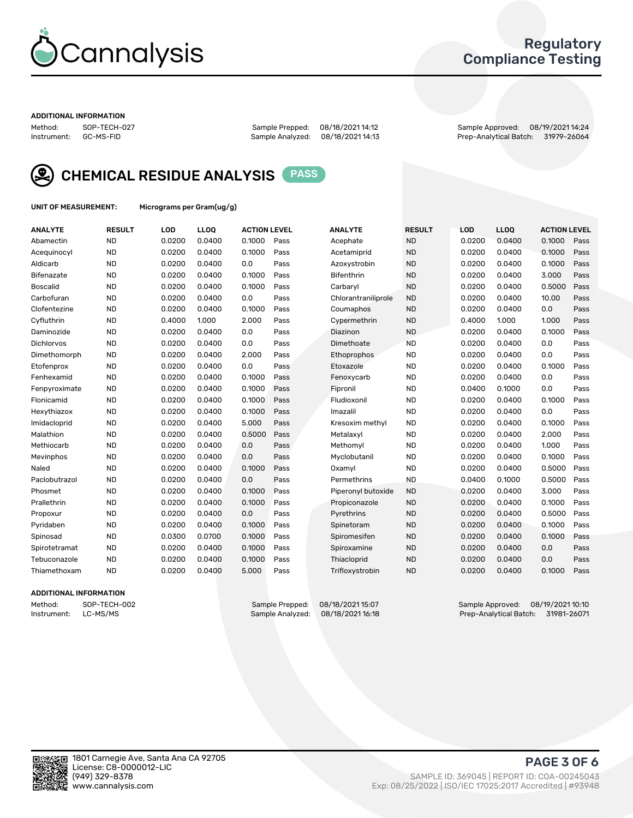

## Regulatory Compliance Testing

#### ADDITIONAL INFORMATION

Method: SOP-TECH-027 Sample Prepped: 08/18/2021 14:12 Sample Approved: 08/19/2021 14:24 Prep-Analytical Batch: 31979-26064



CHEMICAL RESIDUE ANALYSIS PASS

UNIT OF MEASUREMENT: Micrograms per Gram(ug/g)

| <b>ANALYTE</b>    | <b>RESULT</b> | LOD    | LL <sub>OO</sub> | <b>ACTION LEVEL</b> |      | <b>ANALYTE</b>      | <b>RESULT</b> | LOD    | <b>LLOQ</b> | <b>ACTION LEVEL</b> |      |
|-------------------|---------------|--------|------------------|---------------------|------|---------------------|---------------|--------|-------------|---------------------|------|
| Abamectin         | <b>ND</b>     | 0.0200 | 0.0400           | 0.1000              | Pass | Acephate            | <b>ND</b>     | 0.0200 | 0.0400      | 0.1000              | Pass |
| Acequinocyl       | <b>ND</b>     | 0.0200 | 0.0400           | 0.1000              | Pass | Acetamiprid         | <b>ND</b>     | 0.0200 | 0.0400      | 0.1000              | Pass |
| Aldicarb          | <b>ND</b>     | 0.0200 | 0.0400           | 0.0                 | Pass | Azoxystrobin        | <b>ND</b>     | 0.0200 | 0.0400      | 0.1000              | Pass |
| Bifenazate        | <b>ND</b>     | 0.0200 | 0.0400           | 0.1000              | Pass | <b>Bifenthrin</b>   | <b>ND</b>     | 0.0200 | 0.0400      | 3.000               | Pass |
| <b>Boscalid</b>   | <b>ND</b>     | 0.0200 | 0.0400           | 0.1000              | Pass | Carbaryl            | <b>ND</b>     | 0.0200 | 0.0400      | 0.5000              | Pass |
| Carbofuran        | <b>ND</b>     | 0.0200 | 0.0400           | 0.0                 | Pass | Chlorantraniliprole | <b>ND</b>     | 0.0200 | 0.0400      | 10.00               | Pass |
| Clofentezine      | <b>ND</b>     | 0.0200 | 0.0400           | 0.1000              | Pass | Coumaphos           | <b>ND</b>     | 0.0200 | 0.0400      | 0.0                 | Pass |
| Cyfluthrin        | <b>ND</b>     | 0.4000 | 1.000            | 2.000               | Pass | Cypermethrin        | <b>ND</b>     | 0.4000 | 1.000       | 1.000               | Pass |
| Daminozide        | <b>ND</b>     | 0.0200 | 0.0400           | 0.0                 | Pass | Diazinon            | <b>ND</b>     | 0.0200 | 0.0400      | 0.1000              | Pass |
| <b>Dichlorvos</b> | <b>ND</b>     | 0.0200 | 0.0400           | 0.0                 | Pass | Dimethoate          | <b>ND</b>     | 0.0200 | 0.0400      | 0.0                 | Pass |
| Dimethomorph      | <b>ND</b>     | 0.0200 | 0.0400           | 2.000               | Pass | Ethoprophos         | <b>ND</b>     | 0.0200 | 0.0400      | 0.0                 | Pass |
| Etofenprox        | <b>ND</b>     | 0.0200 | 0.0400           | 0.0                 | Pass | Etoxazole           | <b>ND</b>     | 0.0200 | 0.0400      | 0.1000              | Pass |
| Fenhexamid        | <b>ND</b>     | 0.0200 | 0.0400           | 0.1000              | Pass | Fenoxycarb          | <b>ND</b>     | 0.0200 | 0.0400      | 0.0                 | Pass |
| Fenpyroximate     | <b>ND</b>     | 0.0200 | 0.0400           | 0.1000              | Pass | Fipronil            | <b>ND</b>     | 0.0400 | 0.1000      | 0.0                 | Pass |
| Flonicamid        | <b>ND</b>     | 0.0200 | 0.0400           | 0.1000              | Pass | Fludioxonil         | <b>ND</b>     | 0.0200 | 0.0400      | 0.1000              | Pass |
| Hexythiazox       | <b>ND</b>     | 0.0200 | 0.0400           | 0.1000              | Pass | Imazalil            | <b>ND</b>     | 0.0200 | 0.0400      | 0.0                 | Pass |
| Imidacloprid      | <b>ND</b>     | 0.0200 | 0.0400           | 5.000               | Pass | Kresoxim methyl     | <b>ND</b>     | 0.0200 | 0.0400      | 0.1000              | Pass |
| Malathion         | <b>ND</b>     | 0.0200 | 0.0400           | 0.5000              | Pass | Metalaxyl           | <b>ND</b>     | 0.0200 | 0.0400      | 2.000               | Pass |
| Methiocarb        | <b>ND</b>     | 0.0200 | 0.0400           | 0.0                 | Pass | Methomyl            | <b>ND</b>     | 0.0200 | 0.0400      | 1.000               | Pass |
| Mevinphos         | <b>ND</b>     | 0.0200 | 0.0400           | 0.0                 | Pass | Myclobutanil        | <b>ND</b>     | 0.0200 | 0.0400      | 0.1000              | Pass |
| Naled             | <b>ND</b>     | 0.0200 | 0.0400           | 0.1000              | Pass | Oxamyl              | <b>ND</b>     | 0.0200 | 0.0400      | 0.5000              | Pass |
| Paclobutrazol     | <b>ND</b>     | 0.0200 | 0.0400           | 0.0                 | Pass | Permethrins         | <b>ND</b>     | 0.0400 | 0.1000      | 0.5000              | Pass |
| Phosmet           | <b>ND</b>     | 0.0200 | 0.0400           | 0.1000              | Pass | Piperonyl butoxide  | <b>ND</b>     | 0.0200 | 0.0400      | 3.000               | Pass |
| Prallethrin       | <b>ND</b>     | 0.0200 | 0.0400           | 0.1000              | Pass | Propiconazole       | <b>ND</b>     | 0.0200 | 0.0400      | 0.1000              | Pass |
| Propoxur          | <b>ND</b>     | 0.0200 | 0.0400           | 0.0                 | Pass | Pyrethrins          | <b>ND</b>     | 0.0200 | 0.0400      | 0.5000              | Pass |
| Pyridaben         | <b>ND</b>     | 0.0200 | 0.0400           | 0.1000              | Pass | Spinetoram          | <b>ND</b>     | 0.0200 | 0.0400      | 0.1000              | Pass |
| Spinosad          | <b>ND</b>     | 0.0300 | 0.0700           | 0.1000              | Pass | Spiromesifen        | <b>ND</b>     | 0.0200 | 0.0400      | 0.1000              | Pass |
| Spirotetramat     | <b>ND</b>     | 0.0200 | 0.0400           | 0.1000              | Pass | Spiroxamine         | <b>ND</b>     | 0.0200 | 0.0400      | 0.0                 | Pass |
| Tebuconazole      | <b>ND</b>     | 0.0200 | 0.0400           | 0.1000              | Pass | Thiacloprid         | <b>ND</b>     | 0.0200 | 0.0400      | 0.0                 | Pass |
| Thiamethoxam      | <b>ND</b>     | 0.0200 | 0.0400           | 5.000               | Pass | Trifloxystrobin     | <b>ND</b>     | 0.0200 | 0.0400      | 0.1000              | Pass |
|                   |               |        |                  |                     |      |                     |               |        |             |                     |      |

#### ADDITIONAL INFORMATION

Method: SOP-TECH-002 Sample Prepped: 08/18/2021 15:07 Sample Approved: 08/19/2021 10:10<br>Instrument: LC-MS/MS Sample Analyzed: 08/18/2021 16:18 Prep-Analytical Batch: 31981-26071 Prep-Analytical Batch: 31981-26071

PAGE 3 OF 6

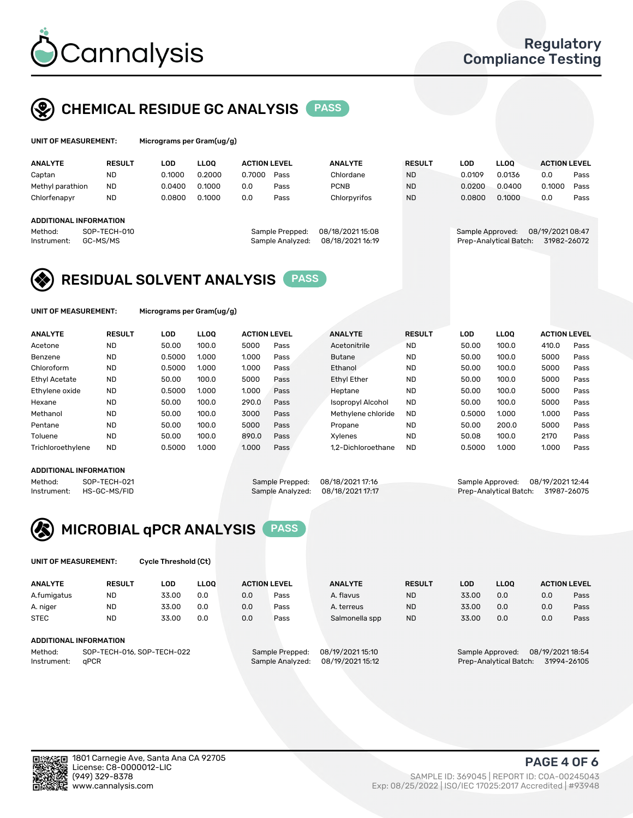

## CHEMICAL RESIDUE GC ANALYSIS PASS

licrograms per Gram(ug/g)

| <b>ANALYTE</b>         | <b>RESULT</b> | LOD    | <b>LLOO</b> | <b>ACTION LEVEL</b> |                  | <b>ANALYTE</b>   | <b>RESULT</b> | LOD              | <b>LLOO</b>            | <b>ACTION LEVEL</b> |      |
|------------------------|---------------|--------|-------------|---------------------|------------------|------------------|---------------|------------------|------------------------|---------------------|------|
| Captan                 | <b>ND</b>     | 0.1000 | 0.2000      | 0.7000              | Pass             | Chlordane        | <b>ND</b>     | 0.0109           | 0.0136                 | 0.0                 | Pass |
| Methyl parathion       | <b>ND</b>     | 0.0400 | 0.1000      | 0.0                 | Pass             | <b>PCNB</b>      | <b>ND</b>     | 0.0200           | 0.0400                 | 0.1000              | Pass |
| Chlorfenapyr           | ND            | 0.0800 | 0.1000      | 0.0                 | Pass             | Chlorpyrifos     | <b>ND</b>     | 0.0800           | 0.1000                 | 0.0                 | Pass |
|                        |               |        |             |                     |                  |                  |               |                  |                        |                     |      |
| ADDITIONAL INFORMATION |               |        |             |                     |                  |                  |               |                  |                        |                     |      |
| Method:                | SOP-TECH-010  |        |             |                     | Sample Prepped:  | 08/18/2021 15:08 |               | Sample Approved: |                        | 08/19/2021 08:47    |      |
| Instrument:            | GC-MS/MS      |        |             |                     | Sample Analyzed: | 08/18/2021 16:19 |               |                  | Prep-Analytical Batch: | 31982-26072         |      |

## RESIDUAL SOLVENT ANALYSIS PASS

UNIT OF MEASUREMENT: Micrograms per Gram(ug/g)

| <b>ANALYTE</b>    | <b>RESULT</b> | LOD    | <b>LLOO</b> | <b>ACTION LEVEL</b> |      | <b>ANALYTE</b>           | <b>RESULT</b> | LOD    | <b>LLOO</b> | <b>ACTION LEVEL</b> |      |
|-------------------|---------------|--------|-------------|---------------------|------|--------------------------|---------------|--------|-------------|---------------------|------|
| Acetone           | <b>ND</b>     | 50.00  | 100.0       | 5000                | Pass | Acetonitrile             | <b>ND</b>     | 50.00  | 100.0       | 410.0               | Pass |
| Benzene           | <b>ND</b>     | 0.5000 | 1.000       | 1.000               | Pass | <b>Butane</b>            | <b>ND</b>     | 50.00  | 100.0       | 5000                | Pass |
| Chloroform        | <b>ND</b>     | 0.5000 | 1.000       | 1.000               | Pass | Ethanol                  | <b>ND</b>     | 50.00  | 100.0       | 5000                | Pass |
| Ethyl Acetate     | <b>ND</b>     | 50.00  | 100.0       | 5000                | Pass | <b>Ethyl Ether</b>       | <b>ND</b>     | 50.00  | 100.0       | 5000                | Pass |
| Ethylene oxide    | <b>ND</b>     | 0.5000 | 1.000       | 1.000               | Pass | Heptane                  | <b>ND</b>     | 50.00  | 100.0       | 5000                | Pass |
| Hexane            | <b>ND</b>     | 50.00  | 100.0       | 290.0               | Pass | <b>Isopropyl Alcohol</b> | <b>ND</b>     | 50.00  | 100.0       | 5000                | Pass |
| Methanol          | <b>ND</b>     | 50.00  | 100.0       | 3000                | Pass | Methylene chloride       | <b>ND</b>     | 0.5000 | 1.000       | 1.000               | Pass |
| Pentane           | <b>ND</b>     | 50.00  | 100.0       | 5000                | Pass | Propane                  | <b>ND</b>     | 50.00  | 200.0       | 5000                | Pass |
| Toluene           | <b>ND</b>     | 50.00  | 100.0       | 890.0               | Pass | Xvlenes                  | <b>ND</b>     | 50.08  | 100.0       | 2170                | Pass |
| Trichloroethylene | <b>ND</b>     | 0.5000 | 1.000       | 1.000               | Pass | 1.2-Dichloroethane       | <b>ND</b>     | 0.5000 | 1.000       | 1.000               | Pass |

#### ADDITIONAL INFORMATION

Method: SOP-TECH-021 Sample Prepped: 08/18/2021 17:16 Sample Approved: 08/19/2021 12:44<br>Instrument: HS-GC-MS/FID Sample Analyzed: 08/18/2021 17:17 Prep-Analytical Batch: 31987-26075 Prep-Analytical Batch: 31987-26075



UNIT OF MEASUREMENT: Cycle Threshold (Ct)

| <b>ANALYTE</b> | <b>RESULT</b>                 | LOD   | <b>LLOO</b> |     | <b>ACTION LEVEL</b> | <b>ANALYTE</b>   | <b>RESULT</b> | <b>LOD</b> | <b>LLOO</b>            |                  | <b>ACTION LEVEL</b> |
|----------------|-------------------------------|-------|-------------|-----|---------------------|------------------|---------------|------------|------------------------|------------------|---------------------|
| A.fumigatus    | <b>ND</b>                     | 33.00 | 0.0         | 0.0 | Pass                | A. flavus        | <b>ND</b>     | 33.00      | 0.0                    | 0.0              | Pass                |
| A. niger       | <b>ND</b>                     | 33.00 | 0.0         | 0.0 | Pass                | A. terreus       | <b>ND</b>     | 33.00      | 0.0                    | 0.0              | Pass                |
| <b>STEC</b>    | <b>ND</b>                     | 33.00 | 0.0         | 0.0 | Pass                | Salmonella spp   | <b>ND</b>     | 33.00      | 0.0                    | 0.0              | Pass                |
|                | <b>ADDITIONAL INFORMATION</b> |       |             |     |                     |                  |               |            |                        |                  |                     |
| Method:        | SOP-TECH-016, SOP-TECH-022    |       |             |     | Sample Prepped:     | 08/19/2021 15:10 |               |            | Sample Approved:       | 08/19/2021 18:54 |                     |
| Instrument:    | aPCR                          |       |             |     | Sample Analyzed:    | 08/19/2021 15:12 |               |            | Prep-Analytical Batch: |                  | 31994-26105         |

PAGE 4 OF 6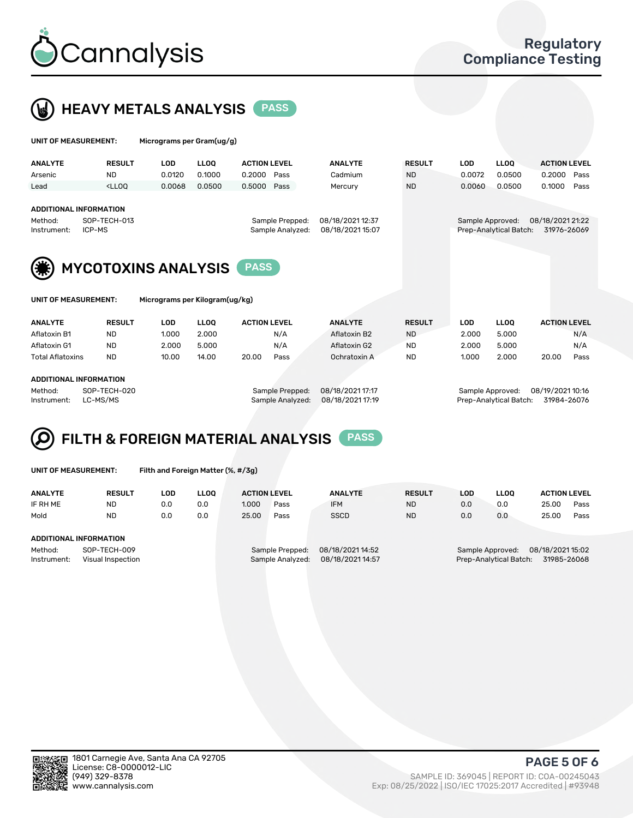



| UNIT OF MEASUREMENT:                                              |               | Micrograms per Gram(ug/g)      |             |                     |                                     |                                      |               |                  |                        |                                 |      |
|-------------------------------------------------------------------|---------------|--------------------------------|-------------|---------------------|-------------------------------------|--------------------------------------|---------------|------------------|------------------------|---------------------------------|------|
| <b>ANALYTE</b>                                                    | <b>RESULT</b> | <b>LOD</b>                     | <b>LLOO</b> | <b>ACTION LEVEL</b> |                                     | <b>ANALYTE</b>                       | <b>RESULT</b> | <b>LOD</b>       | <b>LLOQ</b>            | <b>ACTION LEVEL</b>             |      |
| Arsenic                                                           | <b>ND</b>     | 0.0120                         | 0.1000      | 0.2000              | Pass                                | Cadmium                              | <b>ND</b>     | 0.0072           | 0.0500                 | 0.2000                          | Pass |
| Lead                                                              | $<$ LLOO      | 0.0068                         | 0.0500      | 0.5000              | Pass                                | Mercury                              | <b>ND</b>     | 0.0060           | 0.0500                 | 0.1000                          | Pass |
| <b>ADDITIONAL INFORMATION</b><br>Method:<br>ICP-MS<br>Instrument: | SOP-TECH-013  | <b>MYCOTOXINS ANALYSIS</b>     |             | <b>PASS</b>         | Sample Prepped:<br>Sample Analyzed: | 08/18/2021 12:37<br>08/18/2021 15:07 |               | Sample Approved: | Prep-Analytical Batch: | 08/18/2021 21:22<br>31976-26069 |      |
| UNIT OF MEASUREMENT:                                              |               | Micrograms per Kilogram(ug/kg) |             |                     |                                     |                                      |               |                  |                        |                                 |      |
| <b>ANALYTE</b>                                                    | <b>RESULT</b> | <b>LOD</b>                     | <b>LLOO</b> | <b>ACTION LEVEL</b> |                                     | <b>ANALYTE</b>                       | <b>RESULT</b> | LOD              | <b>LLOO</b>            | <b>ACTION LEVEL</b>             |      |
| Aflatoxin B1                                                      | <b>ND</b>     | 1.000                          | 2.000       |                     | N/A                                 | Aflatoxin B2                         | <b>ND</b>     | 2.000            | 5.000                  |                                 | N/A  |
| Aflatoxin G1                                                      | <b>ND</b>     | 2.000                          | 5.000       |                     | N/A                                 | Aflatoxin G2                         | <b>ND</b>     | 2.000            | 5.000                  |                                 | N/A  |
| Total Aflatoxins                                                  | <b>ND</b>     | 10.00                          | 14.00       | 20.00               | Pass                                | Ochratoxin A                         | <b>ND</b>     | 1.000            | 2.000                  | 20.00                           | Pass |

#### ADDITIONAL INFORMATION

Method: SOP-TECH-020 Sample Prepped: 08/18/2021 17:17 Sample Approved: 08/19/2021 10:16 Instrument: LC-MS/MS Sample Analyzed: 08/18/2021 17:19 Prep-Analytical Batch: 31984-26076

# FILTH & FOREIGN MATERIAL ANALYSIS PASS

UNIT OF MEASUREMENT: Filth and Foreign Matter (%, #/3g)

| <b>ANALYTE</b>                                              | <b>RESULT</b> | LOD. | <b>LLOO</b> | <b>ACTION LEVEL</b>                                                         |      | <b>ANALYTE</b> | <b>RESULT</b> | LOD                                                                           | <b>LLOO</b> | <b>ACTION LEVEL</b> |      |
|-------------------------------------------------------------|---------------|------|-------------|-----------------------------------------------------------------------------|------|----------------|---------------|-------------------------------------------------------------------------------|-------------|---------------------|------|
| IF RH ME                                                    | <b>ND</b>     | 0.0  | 0.0         | 1.000                                                                       | Pass | <b>IFM</b>     | <b>ND</b>     | 0.0                                                                           | 0.0         | 25.00               | Pass |
| Mold                                                        | <b>ND</b>     | 0.0  | 0.0         | 25.00                                                                       | Pass | <b>SSCD</b>    | <b>ND</b>     | 0.0                                                                           | 0.0         | 25.00               | Pass |
| ADDITIONAL INFORMATION                                      |               |      |             |                                                                             |      |                |               |                                                                               |             |                     |      |
| Method:<br>SOP-TECH-009<br>Instrument:<br>Visual Inspection |               |      |             | 08/18/2021 14:52<br>Sample Prepped:<br>08/18/2021 14:57<br>Sample Analyzed: |      |                |               | 08/18/2021 15:02<br>Sample Approved:<br>31985-26068<br>Prep-Analytical Batch: |             |                     |      |